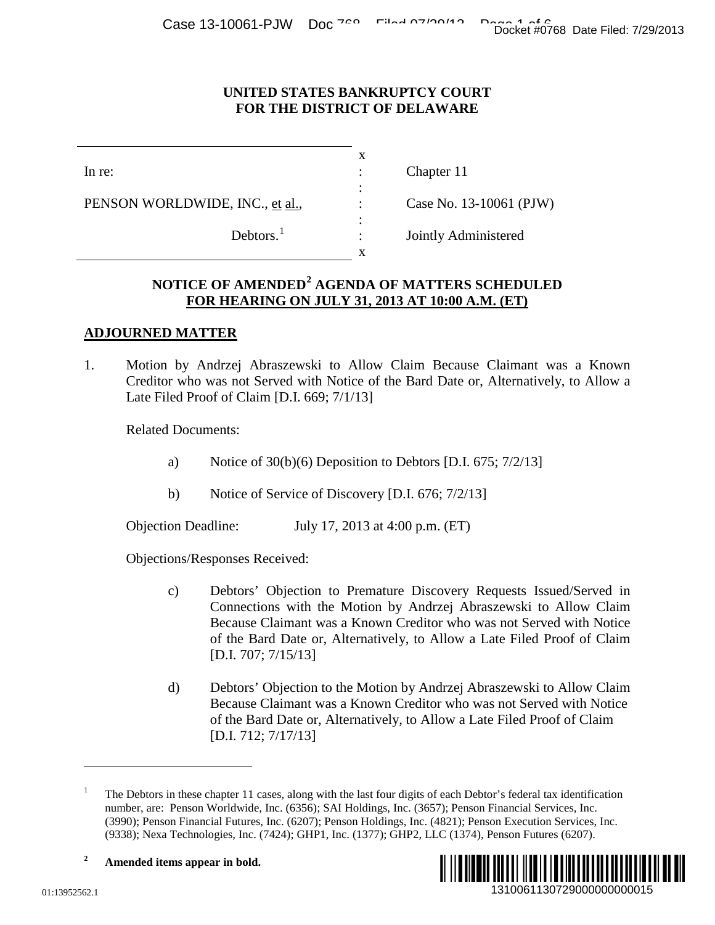#### **UNITED STATES BANKRUPTCY COURT FOR THE DISTRICT OF DELAWARE**

|                                 |                       | x |                         |
|---------------------------------|-----------------------|---|-------------------------|
| In re:                          |                       |   | Chapter 11              |
|                                 |                       | ٠ |                         |
| PENSON WORLDWIDE, INC., et al., |                       |   | Case No. 13-10061 (PJW) |
|                                 |                       | ٠ |                         |
|                                 | Debtors. <sup>1</sup> |   | Jointly Administered    |
|                                 |                       | x |                         |

# **NOTICE OF AMENDED[2](#page-0-1) AGENDA OF MATTERS SCHEDULED FOR HEARING ON JULY 31, 2013 AT 10:00 A.M. (ET)**

## **ADJOURNED MATTER**

1. Motion by Andrzej Abraszewski to Allow Claim Because Claimant was a Known Creditor who was not Served with Notice of the Bard Date or, Alternatively, to Allow a Late Filed Proof of Claim [D.I. 669; 7/1/13]

Related Documents:

- a) Notice of  $30(b)(6)$  Deposition to Debtors [D.I. 675; 7/2/13]
- b) Notice of Service of Discovery [D.I. 676; 7/2/13]

Objection Deadline: July 17, 2013 at 4:00 p.m. (ET)

Objections/Responses Received:

- c) Debtors' Objection to Premature Discovery Requests Issued/Served in Connections with the Motion by Andrzej Abraszewski to Allow Claim Because Claimant was a Known Creditor who was not Served with Notice of the Bard Date or, Alternatively, to Allow a Late Filed Proof of Claim [D.I. 707; 7/15/13] 1310061130729000000000015 Docket #0768 Date Filed: 7/29/2013
- d) Debtors' Objection to the Motion by Andrzej Abraszewski to Allow Claim Because Claimant was a Known Creditor who was not Served with Notice of the Bard Date or, Alternatively, to Allow a Late Filed Proof of Claim [D.I. 712; 7/17/13]

<span id="page-0-1"></span><span id="page-0-0"></span><sup>1</sup> The Debtors in these chapter 11 cases, along with the last four digits of each Debtor's federal tax identification number, are: Penson Worldwide, Inc. (6356); SAI Holdings, Inc. (3657); Penson Financial Services, Inc. (3990); Penson Financial Futures, Inc. (6207); Penson Holdings, Inc. (4821); Penson Execution Services, Inc. (9338); Nexa Technologies, Inc. (7424); GHP1, Inc. (1377); GHP2, LLC (1374), Penson Futures (6207).





 $\overline{a}$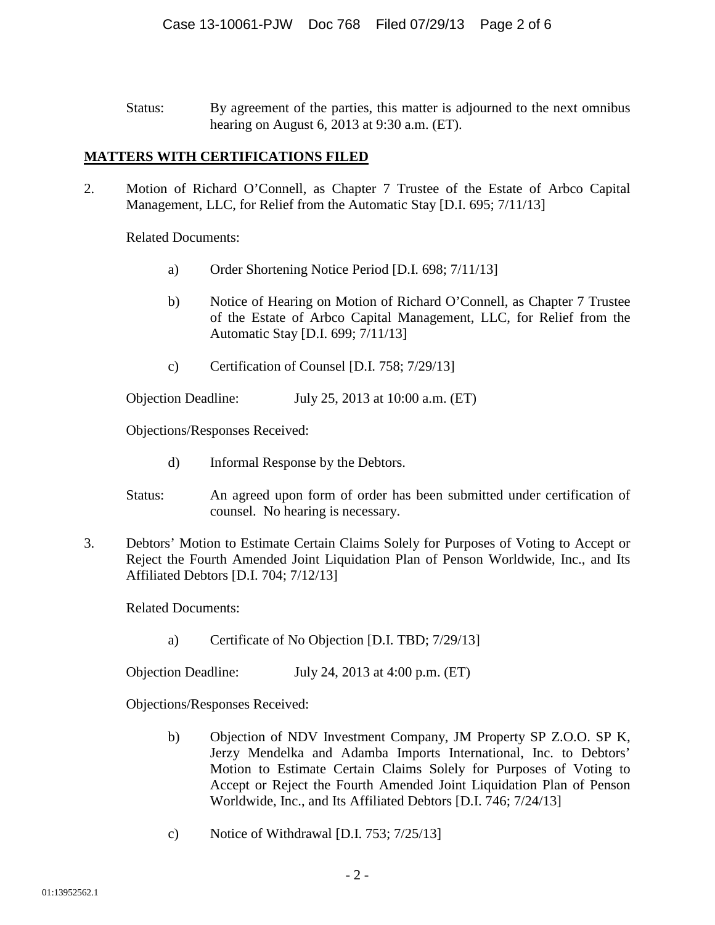Status: By agreement of the parties, this matter is adjourned to the next omnibus hearing on August 6, 2013 at 9:30 a.m. (ET).

# **MATTERS WITH CERTIFICATIONS FILED**

2. Motion of Richard O'Connell, as Chapter 7 Trustee of the Estate of Arbco Capital Management, LLC, for Relief from the Automatic Stay [D.I. 695; 7/11/13]

Related Documents:

- a) Order Shortening Notice Period [D.I. 698; 7/11/13]
- b) Notice of Hearing on Motion of Richard O'Connell, as Chapter 7 Trustee of the Estate of Arbco Capital Management, LLC, for Relief from the Automatic Stay [D.I. 699; 7/11/13]
- c) Certification of Counsel [D.I. 758; 7/29/13]

Objection Deadline: July 25, 2013 at 10:00 a.m. (ET)

Objections/Responses Received:

- d) Informal Response by the Debtors.
- Status: An agreed upon form of order has been submitted under certification of counsel. No hearing is necessary.
- 3. Debtors' Motion to Estimate Certain Claims Solely for Purposes of Voting to Accept or Reject the Fourth Amended Joint Liquidation Plan of Penson Worldwide, Inc., and Its Affiliated Debtors [D.I. 704; 7/12/13]

Related Documents:

a) Certificate of No Objection [D.I. TBD; 7/29/13]

Objection Deadline: July 24, 2013 at 4:00 p.m. (ET)

Objections/Responses Received:

- b) Objection of NDV Investment Company, JM Property SP Z.O.O. SP K, Jerzy Mendelka and Adamba Imports International, Inc. to Debtors' Motion to Estimate Certain Claims Solely for Purposes of Voting to Accept or Reject the Fourth Amended Joint Liquidation Plan of Penson Worldwide, Inc., and Its Affiliated Debtors [D.I. 746; 7/24/13]
- c) Notice of Withdrawal [D.I. 753; 7/25/13]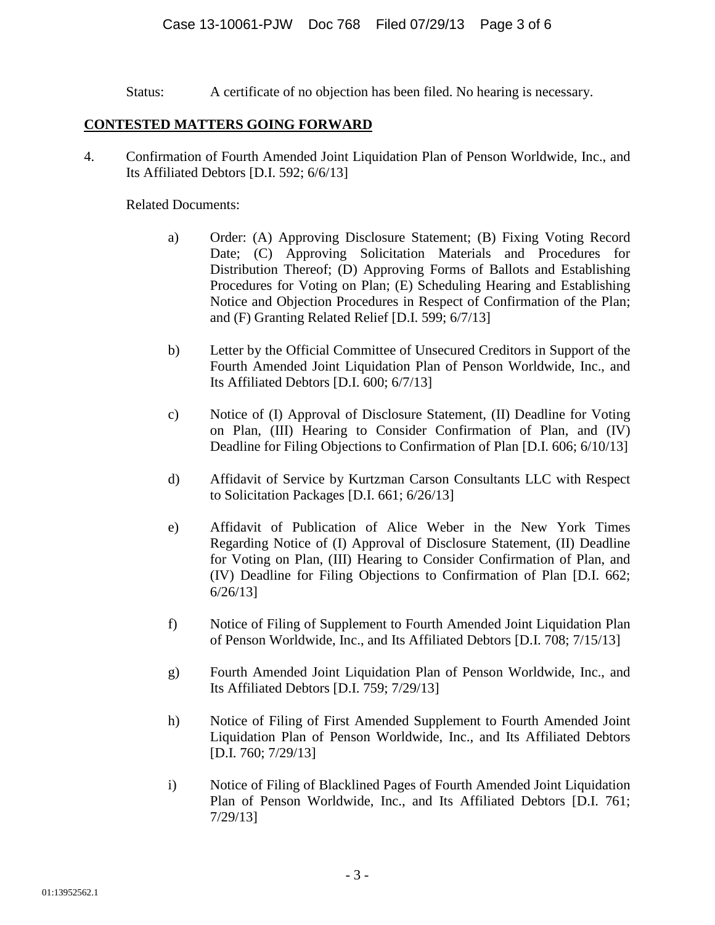Status: A certificate of no objection has been filed. No hearing is necessary.

## **CONTESTED MATTERS GOING FORWARD**

4. Confirmation of Fourth Amended Joint Liquidation Plan of Penson Worldwide, Inc., and Its Affiliated Debtors [D.I. 592; 6/6/13]

#### Related Documents:

- a) Order: (A) Approving Disclosure Statement; (B) Fixing Voting Record Date; (C) Approving Solicitation Materials and Procedures for Distribution Thereof; (D) Approving Forms of Ballots and Establishing Procedures for Voting on Plan; (E) Scheduling Hearing and Establishing Notice and Objection Procedures in Respect of Confirmation of the Plan; and (F) Granting Related Relief [D.I. 599; 6/7/13]
- b) Letter by the Official Committee of Unsecured Creditors in Support of the Fourth Amended Joint Liquidation Plan of Penson Worldwide, Inc., and Its Affiliated Debtors [D.I. 600; 6/7/13]
- c) Notice of (I) Approval of Disclosure Statement, (II) Deadline for Voting on Plan, (III) Hearing to Consider Confirmation of Plan, and (IV) Deadline for Filing Objections to Confirmation of Plan [D.I. 606; 6/10/13]
- d) Affidavit of Service by Kurtzman Carson Consultants LLC with Respect to Solicitation Packages [D.I. 661; 6/26/13]
- e) Affidavit of Publication of Alice Weber in the New York Times Regarding Notice of (I) Approval of Disclosure Statement, (II) Deadline for Voting on Plan, (III) Hearing to Consider Confirmation of Plan, and (IV) Deadline for Filing Objections to Confirmation of Plan [D.I. 662; 6/26/13]
- f) Notice of Filing of Supplement to Fourth Amended Joint Liquidation Plan of Penson Worldwide, Inc., and Its Affiliated Debtors [D.I. 708; 7/15/13]
- g) Fourth Amended Joint Liquidation Plan of Penson Worldwide, Inc., and Its Affiliated Debtors [D.I. 759; 7/29/13]
- h) Notice of Filing of First Amended Supplement to Fourth Amended Joint Liquidation Plan of Penson Worldwide, Inc., and Its Affiliated Debtors [D.I. 760; 7/29/13]
- i) Notice of Filing of Blacklined Pages of Fourth Amended Joint Liquidation Plan of Penson Worldwide, Inc., and Its Affiliated Debtors [D.I. 761; 7/29/13]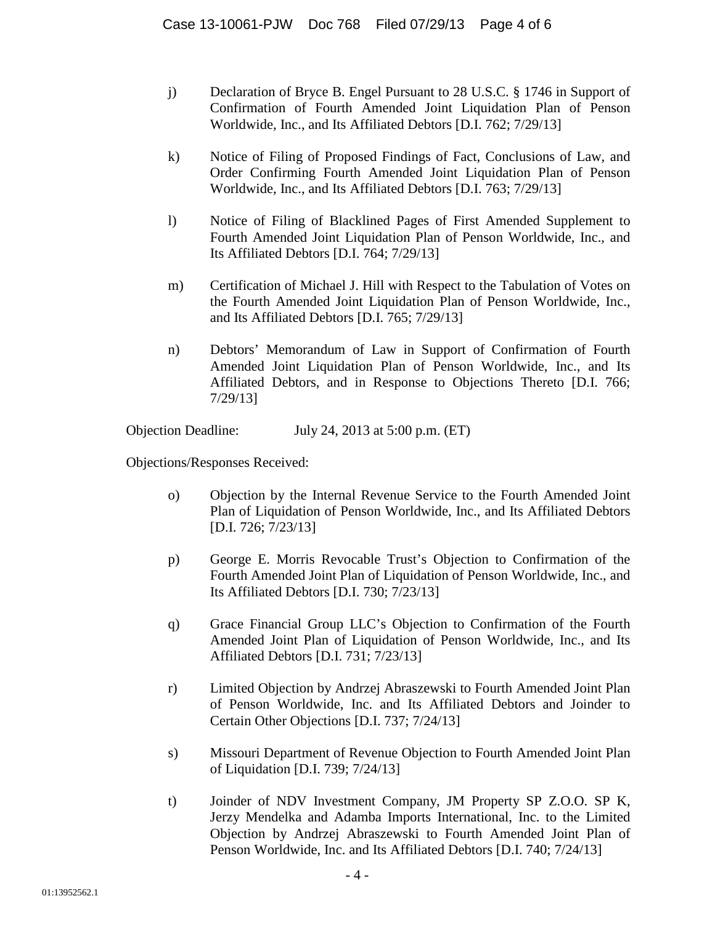- j) Declaration of Bryce B. Engel Pursuant to 28 U.S.C. § 1746 in Support of Confirmation of Fourth Amended Joint Liquidation Plan of Penson Worldwide, Inc., and Its Affiliated Debtors [D.I. 762; 7/29/13]
- k) Notice of Filing of Proposed Findings of Fact, Conclusions of Law, and Order Confirming Fourth Amended Joint Liquidation Plan of Penson Worldwide, Inc., and Its Affiliated Debtors [D.I. 763; 7/29/13]
- l) Notice of Filing of Blacklined Pages of First Amended Supplement to Fourth Amended Joint Liquidation Plan of Penson Worldwide, Inc., and Its Affiliated Debtors [D.I. 764; 7/29/13]
- m) Certification of Michael J. Hill with Respect to the Tabulation of Votes on the Fourth Amended Joint Liquidation Plan of Penson Worldwide, Inc., and Its Affiliated Debtors [D.I. 765; 7/29/13]
- n) Debtors' Memorandum of Law in Support of Confirmation of Fourth Amended Joint Liquidation Plan of Penson Worldwide, Inc., and Its Affiliated Debtors, and in Response to Objections Thereto [D.I. 766; 7/29/13]

Objection Deadline: July 24, 2013 at 5:00 p.m. (ET)

Objections/Responses Received:

- o) Objection by the Internal Revenue Service to the Fourth Amended Joint Plan of Liquidation of Penson Worldwide, Inc., and Its Affiliated Debtors [D.I. 726; 7/23/13]
- p) George E. Morris Revocable Trust's Objection to Confirmation of the Fourth Amended Joint Plan of Liquidation of Penson Worldwide, Inc., and Its Affiliated Debtors [D.I. 730; 7/23/13]
- q) Grace Financial Group LLC's Objection to Confirmation of the Fourth Amended Joint Plan of Liquidation of Penson Worldwide, Inc., and Its Affiliated Debtors [D.I. 731; 7/23/13]
- r) Limited Objection by Andrzej Abraszewski to Fourth Amended Joint Plan of Penson Worldwide, Inc. and Its Affiliated Debtors and Joinder to Certain Other Objections [D.I. 737; 7/24/13]
- s) Missouri Department of Revenue Objection to Fourth Amended Joint Plan of Liquidation [D.I. 739; 7/24/13]
- t) Joinder of NDV Investment Company, JM Property SP Z.O.O. SP K, Jerzy Mendelka and Adamba Imports International, Inc. to the Limited Objection by Andrzej Abraszewski to Fourth Amended Joint Plan of Penson Worldwide, Inc. and Its Affiliated Debtors [D.I. 740; 7/24/13]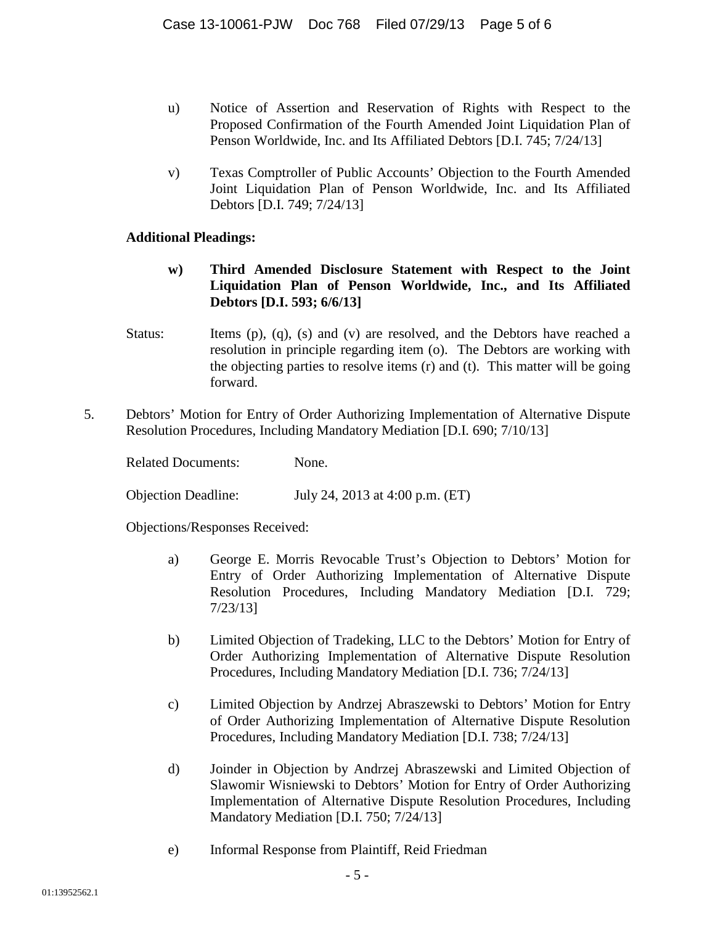- u) Notice of Assertion and Reservation of Rights with Respect to the Proposed Confirmation of the Fourth Amended Joint Liquidation Plan of Penson Worldwide, Inc. and Its Affiliated Debtors [D.I. 745; 7/24/13]
- v) Texas Comptroller of Public Accounts' Objection to the Fourth Amended Joint Liquidation Plan of Penson Worldwide, Inc. and Its Affiliated Debtors [D.I. 749; 7/24/13]

## **Additional Pleadings:**

- **w) Third Amended Disclosure Statement with Respect to the Joint Liquidation Plan of Penson Worldwide, Inc., and Its Affiliated Debtors [D.I. 593; 6/6/13]**
- Status: Items (p), (q), (s) and (v) are resolved, and the Debtors have reached a resolution in principle regarding item (o). The Debtors are working with the objecting parties to resolve items (r) and (t). This matter will be going forward.
- 5. Debtors' Motion for Entry of Order Authorizing Implementation of Alternative Dispute Resolution Procedures, Including Mandatory Mediation [D.I. 690; 7/10/13]

Related Documents: None.

Objection Deadline: July 24, 2013 at 4:00 p.m. (ET)

Objections/Responses Received:

- a) George E. Morris Revocable Trust's Objection to Debtors' Motion for Entry of Order Authorizing Implementation of Alternative Dispute Resolution Procedures, Including Mandatory Mediation [D.I. 729; 7/23/13]
- b) Limited Objection of Tradeking, LLC to the Debtors' Motion for Entry of Order Authorizing Implementation of Alternative Dispute Resolution Procedures, Including Mandatory Mediation [D.I. 736; 7/24/13]
- c) Limited Objection by Andrzej Abraszewski to Debtors' Motion for Entry of Order Authorizing Implementation of Alternative Dispute Resolution Procedures, Including Mandatory Mediation [D.I. 738; 7/24/13]
- d) Joinder in Objection by Andrzej Abraszewski and Limited Objection of Slawomir Wisniewski to Debtors' Motion for Entry of Order Authorizing Implementation of Alternative Dispute Resolution Procedures, Including Mandatory Mediation [D.I. 750; 7/24/13]
- e) Informal Response from Plaintiff, Reid Friedman